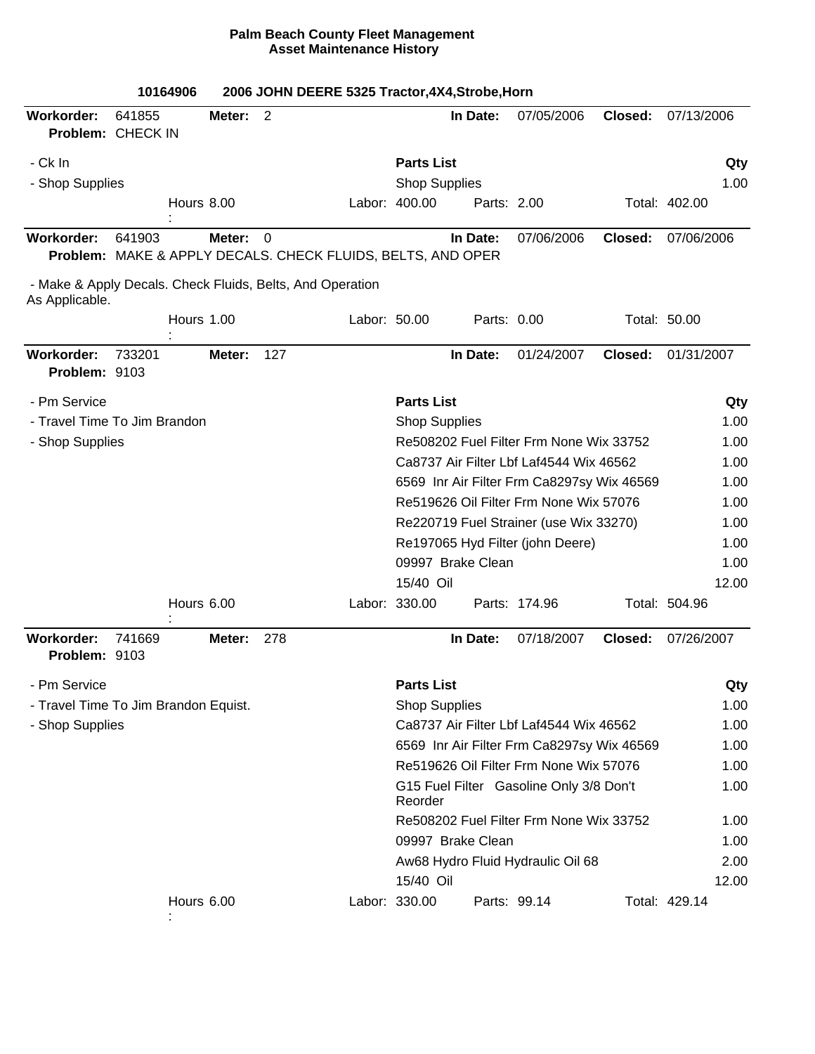|                                                                             |        | 10164906   |        | 2006 JOHN DEERE 5325 Tractor, 4X4, Strobe, Horn                         |              |                      |                   |                                            |         |               |       |
|-----------------------------------------------------------------------------|--------|------------|--------|-------------------------------------------------------------------------|--------------|----------------------|-------------------|--------------------------------------------|---------|---------------|-------|
| <b>Workorder:</b><br>Problem: CHECK IN                                      | 641855 |            | Meter: | 2                                                                       |              |                      | In Date:          | 07/05/2006                                 | Closed: | 07/13/2006    |       |
| - Ck In                                                                     |        |            |        |                                                                         |              | <b>Parts List</b>    |                   |                                            |         |               | Qty   |
| - Shop Supplies                                                             |        |            |        |                                                                         |              | <b>Shop Supplies</b> |                   |                                            |         |               | 1.00  |
|                                                                             |        | Hours 8.00 |        |                                                                         |              | Labor: 400.00        | Parts: 2.00       |                                            |         | Total: 402.00 |       |
| <b>Workorder:</b>                                                           | 641903 |            | Meter: | $\Omega$<br>Problem: MAKE & APPLY DECALS. CHECK FLUIDS, BELTS, AND OPER |              |                      | In Date:          | 07/06/2006                                 | Closed: | 07/06/2006    |       |
| - Make & Apply Decals. Check Fluids, Belts, And Operation<br>As Applicable. |        |            |        |                                                                         |              |                      |                   |                                            |         |               |       |
|                                                                             |        | Hours 1.00 |        |                                                                         | Labor: 50.00 |                      | Parts: 0.00       |                                            |         | Total: 50.00  |       |
| Workorder:<br>Problem: 9103                                                 | 733201 |            | Meter: | 127                                                                     |              |                      | In Date:          | 01/24/2007                                 | Closed: | 01/31/2007    |       |
| - Pm Service                                                                |        |            |        |                                                                         |              | <b>Parts List</b>    |                   |                                            |         |               | Qty   |
| - Travel Time To Jim Brandon                                                |        |            |        |                                                                         |              | <b>Shop Supplies</b> |                   |                                            |         |               | 1.00  |
| - Shop Supplies                                                             |        |            |        |                                                                         |              |                      |                   | Re508202 Fuel Filter Frm None Wix 33752    |         |               | 1.00  |
|                                                                             |        |            |        |                                                                         |              |                      |                   | Ca8737 Air Filter Lbf Laf4544 Wix 46562    |         |               | 1.00  |
|                                                                             |        |            |        |                                                                         |              |                      |                   | 6569 Inr Air Filter Frm Ca8297sy Wix 46569 |         |               | 1.00  |
|                                                                             |        |            |        |                                                                         |              |                      |                   | Re519626 Oil Filter Frm None Wix 57076     |         |               | 1.00  |
|                                                                             |        |            |        |                                                                         |              |                      |                   | Re220719 Fuel Strainer (use Wix 33270)     |         |               | 1.00  |
|                                                                             |        |            |        |                                                                         |              |                      |                   | Re197065 Hyd Filter (john Deere)           |         |               | 1.00  |
|                                                                             |        |            |        |                                                                         |              |                      | 09997 Brake Clean |                                            |         |               | 1.00  |
|                                                                             |        |            |        |                                                                         |              | 15/40 Oil            |                   |                                            |         |               | 12.00 |
|                                                                             |        | Hours 6.00 |        |                                                                         |              | Labor: 330.00        |                   | Parts: 174.96                              |         | Total: 504.96 |       |
| Workorder:<br>Problem: 9103                                                 | 741669 |            | Meter: | 278                                                                     |              |                      | In Date:          | 07/18/2007                                 | Closed: | 07/26/2007    |       |
| - Pm Service                                                                |        |            |        |                                                                         |              | <b>Parts List</b>    |                   |                                            |         |               | Qty   |
| - Travel Time To Jim Brandon Equist.                                        |        |            |        |                                                                         |              | <b>Shop Supplies</b> |                   |                                            |         |               | 1.00  |
| - Shop Supplies                                                             |        |            |        |                                                                         |              |                      |                   | Ca8737 Air Filter Lbf Laf4544 Wix 46562    |         |               | 1.00  |
|                                                                             |        |            |        |                                                                         |              |                      |                   | 6569 Inr Air Filter Frm Ca8297sy Wix 46569 |         |               | 1.00  |
|                                                                             |        |            |        |                                                                         |              |                      |                   | Re519626 Oil Filter Frm None Wix 57076     |         |               | 1.00  |
|                                                                             |        |            |        |                                                                         |              | Reorder              |                   | G15 Fuel Filter Gasoline Only 3/8 Don't    |         |               | 1.00  |
|                                                                             |        |            |        |                                                                         |              |                      |                   | Re508202 Fuel Filter Frm None Wix 33752    |         |               | 1.00  |
|                                                                             |        |            |        |                                                                         |              |                      | 09997 Brake Clean |                                            |         |               | 1.00  |
|                                                                             |        |            |        |                                                                         |              |                      |                   | Aw68 Hydro Fluid Hydraulic Oil 68          |         |               | 2.00  |
|                                                                             |        |            |        |                                                                         |              | 15/40 Oil            |                   |                                            |         |               | 12.00 |
|                                                                             |        | Hours 6.00 |        |                                                                         |              | Labor: 330.00        |                   | Parts: 99.14                               |         | Total: 429.14 |       |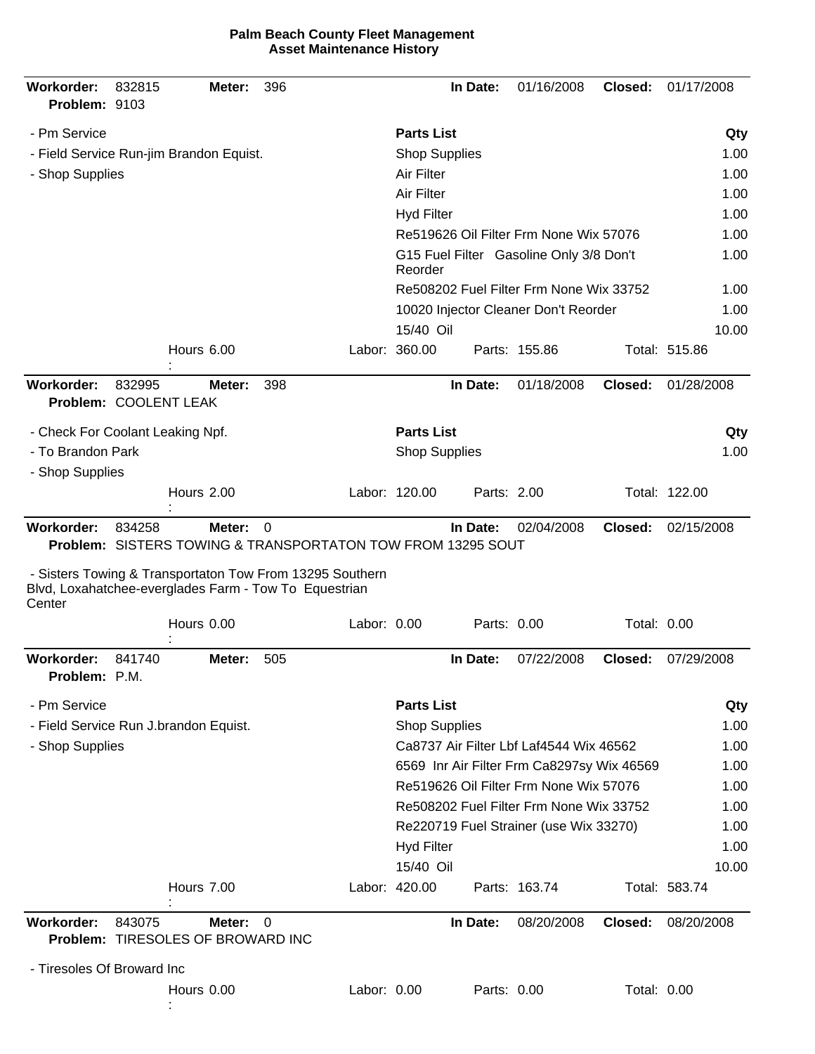|  | <b>Palm Beach County Fleet Management</b> |
|--|-------------------------------------------|
|  | <b>Asset Maintenance History</b>          |

| Workorder:<br>Problem: 9103         | 832815 | Meter:                                                                                                                                                                           | 396      |             |                      | In Date:    | 01/16/2008                                 | Closed:            | 01/17/2008    |
|-------------------------------------|--------|----------------------------------------------------------------------------------------------------------------------------------------------------------------------------------|----------|-------------|----------------------|-------------|--------------------------------------------|--------------------|---------------|
| - Pm Service                        |        |                                                                                                                                                                                  |          |             | <b>Parts List</b>    |             |                                            |                    | Qty           |
|                                     |        | - Field Service Run-jim Brandon Equist.                                                                                                                                          |          |             | <b>Shop Supplies</b> |             |                                            |                    | 1.00          |
| - Shop Supplies                     |        |                                                                                                                                                                                  |          |             | Air Filter           |             |                                            |                    | 1.00          |
|                                     |        |                                                                                                                                                                                  |          |             | Air Filter           |             |                                            |                    | 1.00          |
|                                     |        |                                                                                                                                                                                  |          |             | <b>Hyd Filter</b>    |             |                                            |                    | 1.00          |
|                                     |        |                                                                                                                                                                                  |          |             |                      |             | Re519626 Oil Filter Frm None Wix 57076     |                    | 1.00          |
|                                     |        |                                                                                                                                                                                  |          |             | Reorder              |             | G15 Fuel Filter Gasoline Only 3/8 Don't    |                    | 1.00          |
|                                     |        |                                                                                                                                                                                  |          |             |                      |             | Re508202 Fuel Filter Frm None Wix 33752    |                    | 1.00          |
|                                     |        |                                                                                                                                                                                  |          |             |                      |             | 10020 Injector Cleaner Don't Reorder       |                    | 1.00          |
|                                     |        |                                                                                                                                                                                  |          |             | 15/40 Oil            |             |                                            |                    | 10.00         |
|                                     |        | Hours 6.00                                                                                                                                                                       |          |             | Labor: 360.00        |             | Parts: 155.86                              |                    | Total: 515.86 |
| Workorder:<br>Problem: COOLENT LEAK | 832995 | Meter:                                                                                                                                                                           | 398      |             |                      | In Date:    | 01/18/2008                                 | Closed:            | 01/28/2008    |
| - Check For Coolant Leaking Npf.    |        |                                                                                                                                                                                  |          |             | <b>Parts List</b>    |             |                                            |                    | Qty           |
| - To Brandon Park                   |        |                                                                                                                                                                                  |          |             | <b>Shop Supplies</b> |             |                                            |                    | 1.00          |
| - Shop Supplies                     |        |                                                                                                                                                                                  |          |             |                      |             |                                            |                    |               |
|                                     |        | Hours 2.00                                                                                                                                                                       |          |             | Labor: 120.00        | Parts: 2.00 |                                            |                    | Total: 122.00 |
| Workorder:                          | 834258 | Meter:                                                                                                                                                                           | 0        |             |                      | In Date:    | 02/04/2008                                 | Closed:            | 02/15/2008    |
| Center                              |        | Problem: SISTERS TOWING & TRANSPORTATON TOW FROM 13295 SOUT<br>- Sisters Towing & Transportaton Tow From 13295 Southern<br>Blvd, Loxahatchee-everglades Farm - Tow To Equestrian |          |             |                      |             |                                            |                    |               |
|                                     |        | Hours 0.00                                                                                                                                                                       |          | Labor: 0.00 |                      | Parts: 0.00 |                                            | <b>Total: 0.00</b> |               |
| Workorder:                          | 841740 | Meter:                                                                                                                                                                           | 505      |             |                      | In Date:    | 07/22/2008                                 | Closed:            | 07/29/2008    |
| Problem: P.M.                       |        |                                                                                                                                                                                  |          |             |                      |             |                                            |                    |               |
| - Pm Service                        |        |                                                                                                                                                                                  |          |             | <b>Parts List</b>    |             |                                            |                    | Qty           |
|                                     |        | - Field Service Run J.brandon Equist.                                                                                                                                            |          |             | <b>Shop Supplies</b> |             |                                            |                    | 1.00          |
| - Shop Supplies                     |        |                                                                                                                                                                                  |          |             |                      |             | Ca8737 Air Filter Lbf Laf4544 Wix 46562    |                    | 1.00          |
|                                     |        |                                                                                                                                                                                  |          |             |                      |             | 6569 Inr Air Filter Frm Ca8297sy Wix 46569 |                    | 1.00          |
|                                     |        |                                                                                                                                                                                  |          |             |                      |             | Re519626 Oil Filter Frm None Wix 57076     |                    | 1.00          |
|                                     |        |                                                                                                                                                                                  |          |             |                      |             | Re508202 Fuel Filter Frm None Wix 33752    |                    | 1.00          |
|                                     |        |                                                                                                                                                                                  |          |             |                      |             | Re220719 Fuel Strainer (use Wix 33270)     |                    | 1.00          |
|                                     |        |                                                                                                                                                                                  |          |             | <b>Hyd Filter</b>    |             |                                            |                    | 1.00          |
|                                     |        |                                                                                                                                                                                  |          |             | 15/40 Oil            |             |                                            |                    | 10.00         |
|                                     |        | Hours 7.00                                                                                                                                                                       |          |             | Labor: 420.00        |             | Parts: 163.74                              |                    | Total: 583.74 |
| Workorder:                          | 843075 | Meter:<br>Problem: TIRESOLES OF BROWARD INC                                                                                                                                      | $\Omega$ |             |                      | In Date:    | 08/20/2008                                 | Closed:            | 08/20/2008    |
| - Tiresoles Of Broward Inc          |        |                                                                                                                                                                                  |          |             |                      |             |                                            |                    |               |
|                                     |        | Hours 0.00                                                                                                                                                                       |          | Labor: 0.00 |                      | Parts: 0.00 |                                            | Total: 0.00        |               |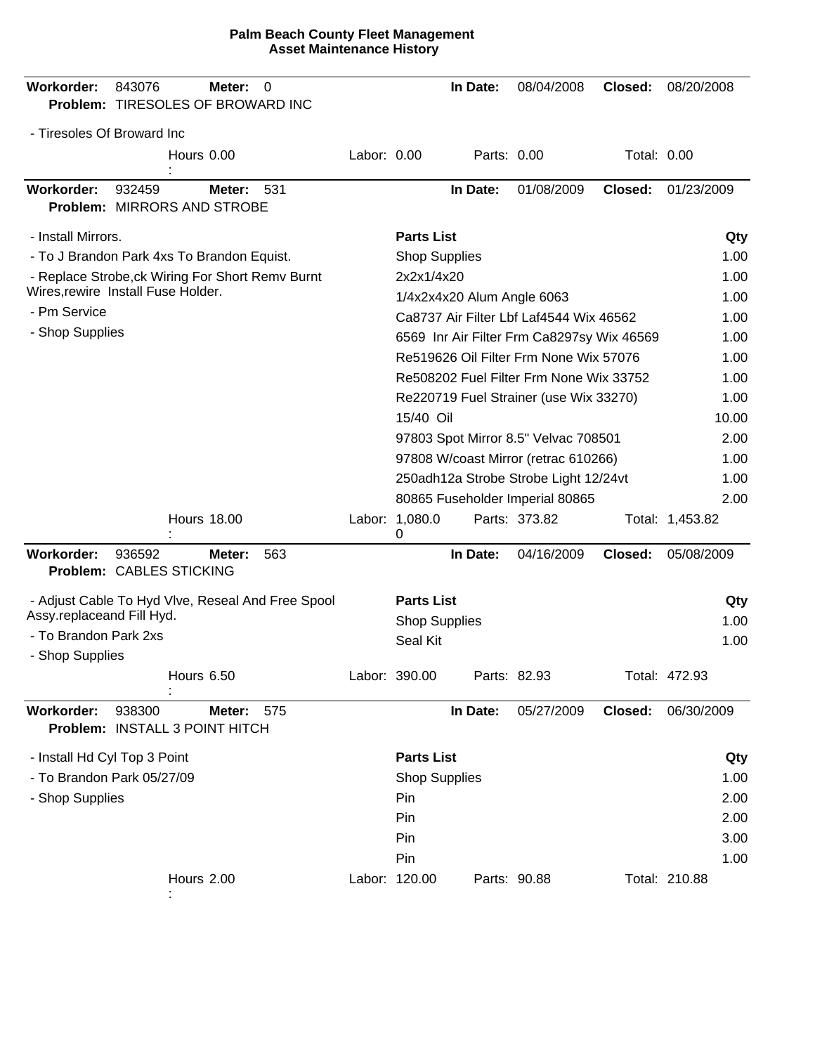| Workorder:                   | 843076<br>Problem: TIRESOLES OF BROWARD INC       | Meter:<br>0   |             |                      | In Date:                   | 08/04/2008                                       | Closed:     | 08/20/2008      |       |
|------------------------------|---------------------------------------------------|---------------|-------------|----------------------|----------------------------|--------------------------------------------------|-------------|-----------------|-------|
| - Tiresoles Of Broward Inc   |                                                   |               |             |                      |                            |                                                  |             |                 |       |
|                              | Hours 0.00                                        |               | Labor: 0.00 |                      | Parts: 0.00                |                                                  | Total: 0.00 |                 |       |
| <b>Workorder:</b>            | 932459<br>Problem: MIRRORS AND STROBE             | 531<br>Meter: |             |                      | In Date:                   | 01/08/2009                                       | Closed:     | 01/23/2009      |       |
| - Install Mirrors.           |                                                   |               |             | <b>Parts List</b>    |                            |                                                  |             |                 | Qty   |
|                              | - To J Brandon Park 4xs To Brandon Equist.        |               |             | <b>Shop Supplies</b> |                            |                                                  |             |                 | 1.00  |
|                              | - Replace Strobe, ck Wiring For Short Remv Burnt  |               |             | 2x2x1/4x20           |                            |                                                  |             |                 | 1.00  |
|                              | Wires, rewire Install Fuse Holder.                |               |             |                      | 1/4x2x4x20 Alum Angle 6063 |                                                  |             |                 | 1.00  |
| - Pm Service                 |                                                   |               |             |                      |                            | Ca8737 Air Filter Lbf Laf4544 Wix 46562          |             |                 | 1.00  |
| - Shop Supplies              |                                                   |               |             |                      |                            | 6569 Inr Air Filter Frm Ca8297sy Wix 46569       |             |                 | 1.00  |
|                              |                                                   |               |             |                      |                            | Re519626 Oil Filter Frm None Wix 57076           |             |                 | 1.00  |
|                              |                                                   |               |             |                      |                            | Re508202 Fuel Filter Frm None Wix 33752          |             |                 | 1.00  |
|                              |                                                   |               |             |                      |                            | Re220719 Fuel Strainer (use Wix 33270)           |             |                 | 1.00  |
|                              |                                                   |               |             | 15/40 Oil            |                            |                                                  |             |                 | 10.00 |
|                              |                                                   |               |             |                      |                            | 97803 Spot Mirror 8.5" Velvac 708501             |             |                 | 2.00  |
|                              |                                                   |               |             |                      |                            | 97808 W/coast Mirror (retrac 610266)             |             |                 | 1.00  |
|                              |                                                   |               |             |                      |                            | 250adh12a Strobe Strobe Light 12/24vt            |             |                 | 1.00  |
|                              | <b>Hours 18.00</b>                                |               |             |                      |                            | 80865 Fuseholder Imperial 80865<br>Parts: 373.82 |             |                 | 2.00  |
|                              |                                                   |               |             | Labor: 1,080.0<br>0  |                            |                                                  |             | Total: 1,453.82 |       |
| Workorder:                   | 936592<br>Problem: CABLES STICKING                | 563<br>Meter: |             |                      | In Date:                   | 04/16/2009                                       | Closed:     | 05/08/2009      |       |
|                              | - Adjust Cable To Hyd Vlve, Reseal And Free Spool |               |             | <b>Parts List</b>    |                            |                                                  |             |                 | Qty   |
| Assy.replaceand Fill Hyd.    |                                                   |               |             | <b>Shop Supplies</b> |                            |                                                  |             |                 | 1.00  |
| - To Brandon Park 2xs        |                                                   |               |             | Seal Kit             |                            |                                                  |             |                 | 1.00  |
| - Shop Supplies              | Hours 6.50                                        |               |             | Labor: 390.00        | Parts: 82.93               |                                                  |             | Total: 472.93   |       |
| Workorder:                   | 938300<br>Problem: INSTALL 3 POINT HITCH          | Meter:<br>575 |             |                      | In Date:                   | 05/27/2009                                       | Closed:     | 06/30/2009      |       |
| - Install Hd Cyl Top 3 Point |                                                   |               |             | <b>Parts List</b>    |                            |                                                  |             |                 | Qty   |
|                              | - To Brandon Park 05/27/09                        |               |             | <b>Shop Supplies</b> |                            |                                                  |             |                 | 1.00  |
| - Shop Supplies              |                                                   |               |             | Pin                  |                            |                                                  |             |                 | 2.00  |
|                              |                                                   |               |             | Pin                  |                            |                                                  |             |                 | 2.00  |
|                              |                                                   |               |             | Pin                  |                            |                                                  |             |                 | 3.00  |
|                              |                                                   |               |             | Pin                  |                            |                                                  |             |                 | 1.00  |
|                              | Hours 2.00                                        |               |             | Labor: 120.00        | Parts: 90.88               |                                                  |             | Total: 210.88   |       |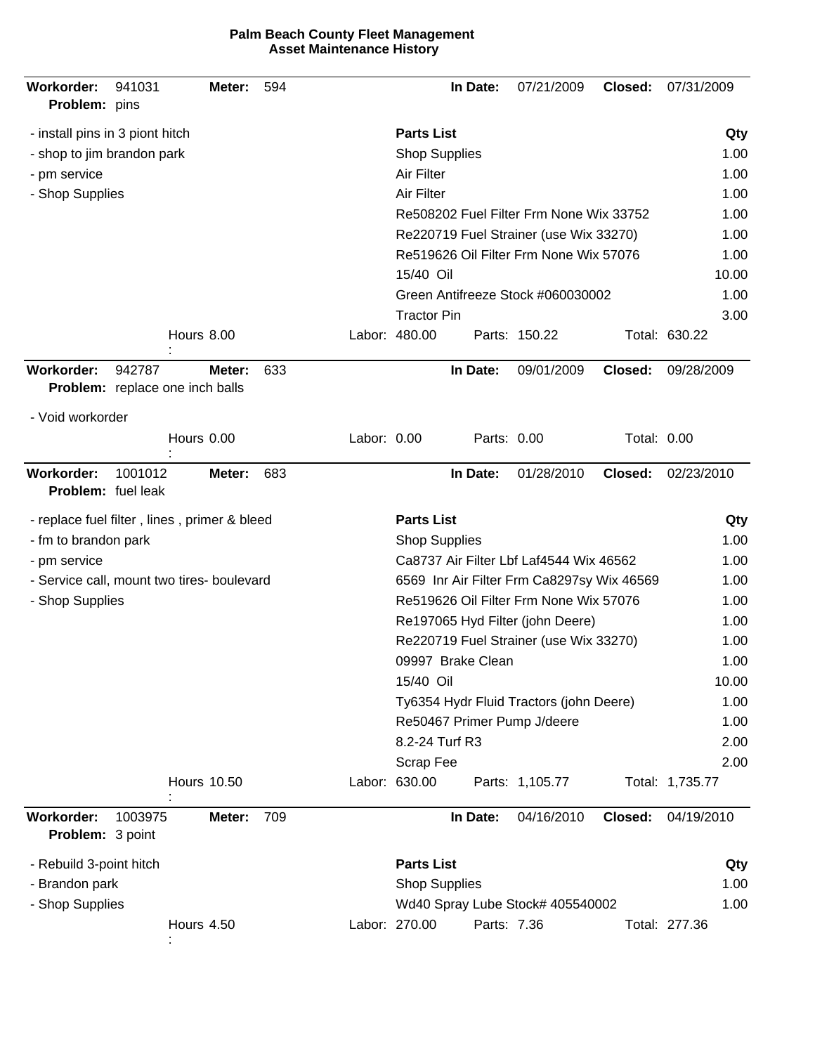| Workorder:<br>Problem: pins                          | 941031  |                    | Meter: | 594 |             |                      | In Date:          | 07/21/2009                                 | Closed:     | 07/31/2009      |
|------------------------------------------------------|---------|--------------------|--------|-----|-------------|----------------------|-------------------|--------------------------------------------|-------------|-----------------|
| - install pins in 3 piont hitch                      |         |                    |        |     |             | <b>Parts List</b>    |                   |                                            |             | Qty             |
| - shop to jim brandon park                           |         |                    |        |     |             | <b>Shop Supplies</b> |                   | 1.00                                       |             |                 |
| - pm service                                         |         |                    |        |     |             | Air Filter           | 1.00              |                                            |             |                 |
| - Shop Supplies                                      |         |                    |        |     |             | Air Filter           |                   |                                            |             | 1.00            |
|                                                      |         |                    |        |     |             |                      |                   | Re508202 Fuel Filter Frm None Wix 33752    |             | 1.00            |
|                                                      |         |                    |        |     |             |                      |                   | Re220719 Fuel Strainer (use Wix 33270)     |             | 1.00            |
|                                                      |         |                    |        |     |             |                      |                   | Re519626 Oil Filter Frm None Wix 57076     |             | 1.00            |
|                                                      |         |                    |        |     |             | 15/40 Oil            |                   |                                            |             | 10.00           |
|                                                      |         |                    |        |     |             |                      |                   | Green Antifreeze Stock #060030002          |             | 1.00            |
|                                                      |         |                    |        |     |             | <b>Tractor Pin</b>   |                   |                                            |             | 3.00            |
|                                                      |         | Hours 8.00         |        |     |             | Labor: 480.00        |                   | Parts: 150.22                              |             | Total: 630.22   |
| <b>Workorder:</b><br>Problem: replace one inch balls | 942787  |                    | Meter: | 633 |             |                      | In Date:          | 09/01/2009                                 | Closed:     | 09/28/2009      |
| - Void workorder                                     |         |                    |        |     |             |                      |                   |                                            |             |                 |
|                                                      |         | Hours 0.00         |        |     | Labor: 0.00 |                      | Parts: 0.00       |                                            | Total: 0.00 |                 |
| <b>Workorder:</b><br>Problem: fuel leak              | 1001012 |                    | Meter: | 683 |             |                      | In Date:          | 01/28/2010                                 | Closed:     | 02/23/2010      |
| - replace fuel filter, lines, primer & bleed         |         |                    |        |     |             | <b>Parts List</b>    |                   |                                            |             | Qty             |
| - fm to brandon park                                 |         |                    |        |     |             | <b>Shop Supplies</b> |                   |                                            |             | 1.00            |
| - pm service                                         |         |                    |        |     |             |                      |                   | Ca8737 Air Filter Lbf Laf4544 Wix 46562    |             | 1.00            |
| - Service call, mount two tires- boulevard           |         |                    |        |     |             |                      |                   | 6569 Inr Air Filter Frm Ca8297sy Wix 46569 |             | 1.00            |
| - Shop Supplies                                      |         |                    |        |     |             |                      |                   | Re519626 Oil Filter Frm None Wix 57076     |             | 1.00            |
|                                                      |         |                    |        |     |             |                      |                   | Re197065 Hyd Filter (john Deere)           |             | 1.00            |
|                                                      |         |                    |        |     |             |                      |                   | Re220719 Fuel Strainer (use Wix 33270)     |             | 1.00            |
|                                                      |         |                    |        |     |             |                      | 09997 Brake Clean |                                            |             | 1.00            |
|                                                      |         |                    |        |     |             | 15/40 Oil            |                   |                                            |             | 10.00           |
|                                                      |         |                    |        |     |             |                      |                   | Ty6354 Hydr Fluid Tractors (john Deere)    |             | 1.00            |
|                                                      |         |                    |        |     |             | 8.2-24 Turf R3       |                   | Re50467 Primer Pump J/deere                |             | 1.00<br>2.00    |
|                                                      |         |                    |        |     |             | <b>Scrap Fee</b>     |                   |                                            |             | 2.00            |
|                                                      |         | <b>Hours 10.50</b> |        |     |             | Labor: 630.00        |                   | Parts: 1,105.77                            |             | Total: 1,735.77 |
| Workorder:<br>Problem: 3 point                       | 1003975 |                    | Meter: | 709 |             |                      | In Date:          | 04/16/2010                                 | Closed:     | 04/19/2010      |
| - Rebuild 3-point hitch                              |         |                    |        |     |             | <b>Parts List</b>    |                   |                                            |             | Qty             |
| - Brandon park                                       |         |                    |        |     |             | <b>Shop Supplies</b> |                   |                                            |             | 1.00            |
| - Shop Supplies                                      |         |                    |        |     |             |                      |                   | Wd40 Spray Lube Stock# 405540002           |             | 1.00            |
|                                                      |         | <b>Hours 4.50</b>  |        |     |             | Labor: 270.00        | Parts: 7.36       |                                            |             | Total: 277.36   |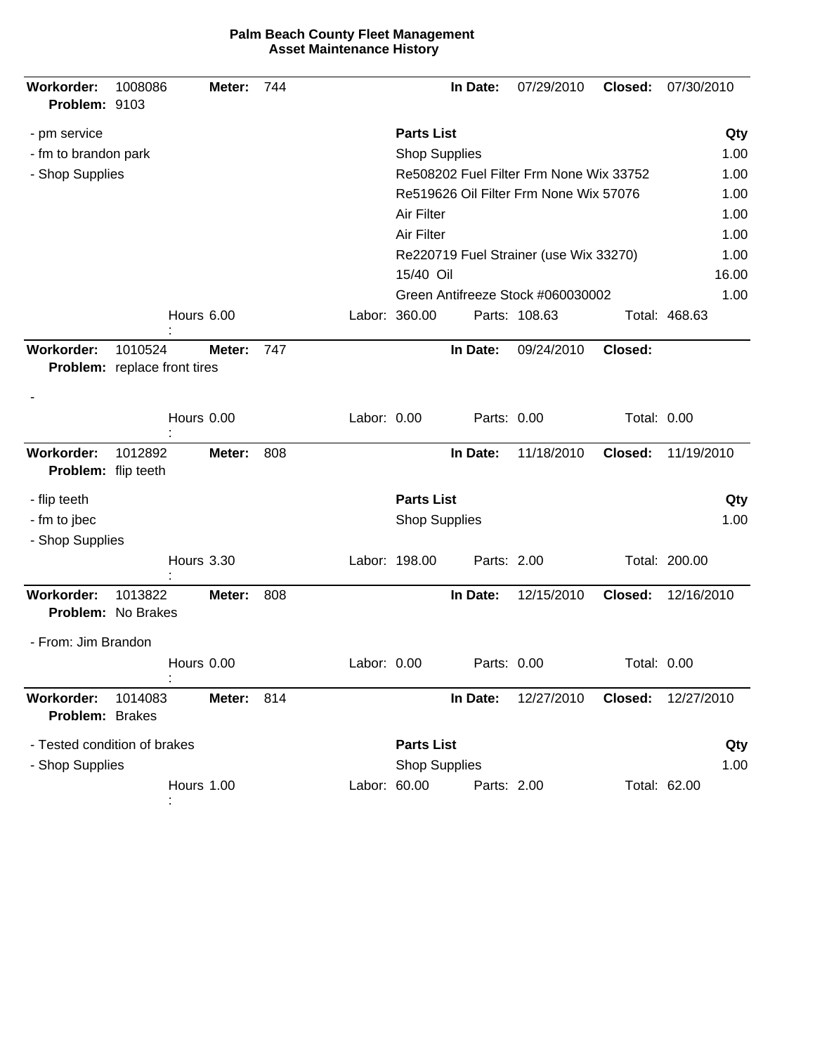| <b>Workorder:</b><br>Problem: 9103 | 1008086                                 | Meter:     | 744 |              |                                         | In Date:    | 07/29/2010                             | Closed:     | 07/30/2010    |
|------------------------------------|-----------------------------------------|------------|-----|--------------|-----------------------------------------|-------------|----------------------------------------|-------------|---------------|
| - pm service                       |                                         |            |     |              | <b>Parts List</b>                       |             |                                        |             | Qty           |
| - fm to brandon park               |                                         |            |     |              | <b>Shop Supplies</b>                    |             |                                        |             | 1.00          |
| - Shop Supplies                    |                                         |            |     |              | Re508202 Fuel Filter Frm None Wix 33752 | 1.00        |                                        |             |               |
|                                    |                                         |            |     |              |                                         |             | Re519626 Oil Filter Frm None Wix 57076 |             | 1.00          |
|                                    |                                         |            |     |              | Air Filter                              |             |                                        |             | 1.00          |
|                                    |                                         |            |     |              | Air Filter                              |             |                                        |             | 1.00          |
|                                    |                                         |            |     |              |                                         |             | Re220719 Fuel Strainer (use Wix 33270) |             | 1.00          |
|                                    |                                         |            |     |              | 15/40 Oil                               |             |                                        |             | 16.00         |
|                                    |                                         |            |     |              |                                         |             | Green Antifreeze Stock #060030002      |             | 1.00          |
|                                    |                                         | Hours 6.00 |     |              | Labor: 360.00                           |             | Parts: 108.63                          |             | Total: 468.63 |
| <b>Workorder:</b>                  | 1010524<br>Problem: replace front tires | Meter:     | 747 |              |                                         | In Date:    | 09/24/2010                             | Closed:     |               |
|                                    |                                         |            |     |              |                                         |             |                                        |             |               |
|                                    |                                         | Hours 0.00 |     | Labor: 0.00  |                                         | Parts: 0.00 |                                        | Total: 0.00 |               |
| Workorder:<br>Problem: flip teeth  | 1012892                                 | Meter:     | 808 |              |                                         | In Date:    | 11/18/2010                             | Closed:     | 11/19/2010    |
| - flip teeth                       |                                         |            |     |              | <b>Parts List</b>                       |             |                                        |             | Qty           |
| - fm to jbec                       |                                         |            |     |              | <b>Shop Supplies</b>                    |             |                                        |             | 1.00          |
| - Shop Supplies                    |                                         |            |     |              |                                         |             |                                        |             |               |
|                                    |                                         | Hours 3.30 |     |              | Labor: 198.00                           | Parts: 2.00 |                                        |             | Total: 200.00 |
| Workorder:                         | 1013822<br>Problem: No Brakes           | Meter:     | 808 |              |                                         | In Date:    | 12/15/2010                             | Closed:     | 12/16/2010    |
| - From: Jim Brandon                |                                         |            |     |              |                                         |             |                                        |             |               |
|                                    |                                         | Hours 0.00 |     | Labor: 0.00  |                                         | Parts: 0.00 |                                        | Total: 0.00 |               |
| Workorder:<br>Problem: Brakes      | 1014083                                 | Meter:     | 814 |              |                                         | In Date:    | 12/27/2010                             | Closed:     | 12/27/2010    |
|                                    | - Tested condition of brakes            |            |     |              | <b>Parts List</b>                       |             |                                        |             | Qty           |
| - Shop Supplies                    |                                         |            |     |              | <b>Shop Supplies</b>                    |             |                                        |             | 1.00          |
|                                    |                                         | Hours 1.00 |     | Labor: 60.00 |                                         | Parts: 2.00 |                                        |             | Total: 62.00  |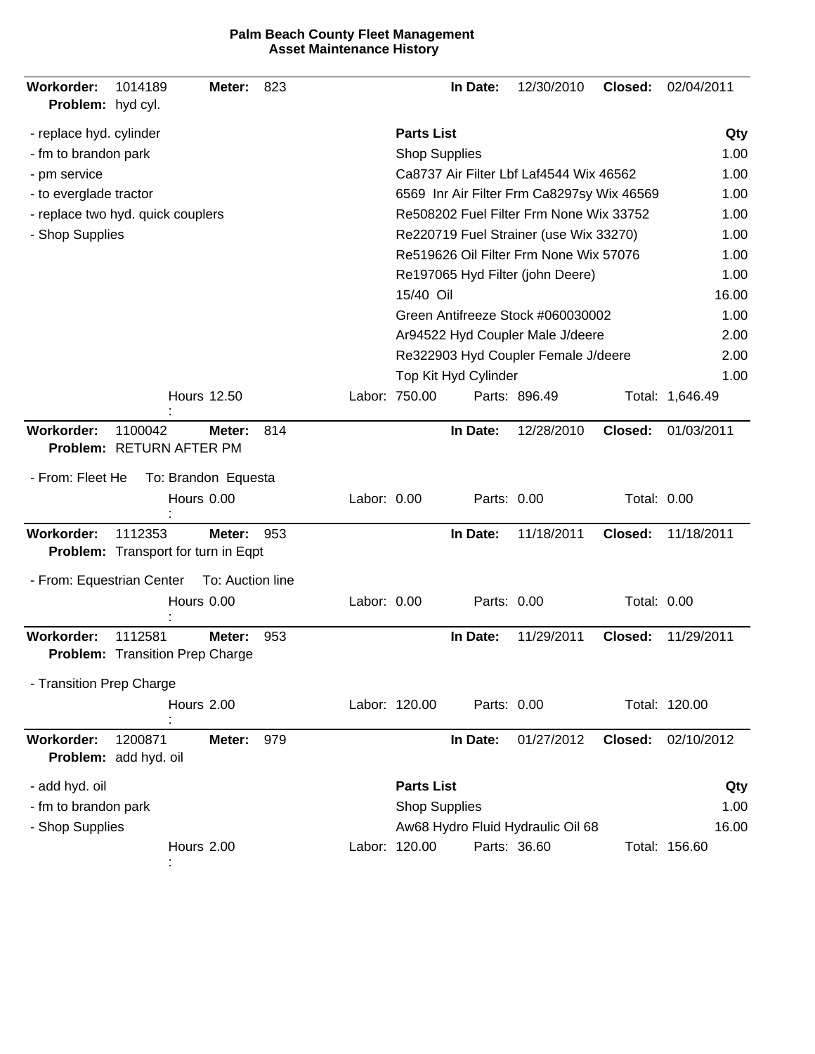| Workorder:<br>Problem: hyd cyl.   | 1014189                                           | Meter:              | 823 |             |                                   | In Date:             | 12/30/2010                                 | Closed:            | 02/04/2011      |
|-----------------------------------|---------------------------------------------------|---------------------|-----|-------------|-----------------------------------|----------------------|--------------------------------------------|--------------------|-----------------|
| - replace hyd. cylinder           |                                                   |                     |     |             | <b>Parts List</b>                 |                      |                                            |                    | Qty             |
| - fm to brandon park              |                                                   |                     |     |             | <b>Shop Supplies</b>              |                      |                                            |                    | 1.00            |
| - pm service                      |                                                   |                     |     |             |                                   |                      | Ca8737 Air Filter Lbf Laf4544 Wix 46562    |                    | 1.00            |
| - to everglade tractor            |                                                   |                     |     |             |                                   |                      | 6569 Inr Air Filter Frm Ca8297sy Wix 46569 |                    | 1.00            |
| - replace two hyd. quick couplers |                                                   |                     |     |             |                                   |                      | Re508202 Fuel Filter Frm None Wix 33752    |                    | 1.00            |
| - Shop Supplies                   |                                                   |                     |     |             |                                   |                      | Re220719 Fuel Strainer (use Wix 33270)     |                    | 1.00            |
|                                   |                                                   |                     |     |             |                                   |                      | Re519626 Oil Filter Frm None Wix 57076     |                    | 1.00            |
|                                   |                                                   |                     |     |             |                                   |                      | Re197065 Hyd Filter (john Deere)           |                    | 1.00            |
|                                   |                                                   |                     |     |             | 15/40 Oil                         |                      |                                            |                    | 16.00           |
|                                   |                                                   |                     |     |             |                                   |                      | Green Antifreeze Stock #060030002          |                    | 1.00            |
|                                   |                                                   |                     |     |             |                                   |                      | Ar94522 Hyd Coupler Male J/deere           |                    | 2.00            |
|                                   |                                                   |                     |     |             |                                   |                      | Re322903 Hyd Coupler Female J/deere        |                    | 2.00            |
|                                   |                                                   |                     |     |             |                                   | Top Kit Hyd Cylinder |                                            |                    | 1.00            |
|                                   |                                                   | <b>Hours 12.50</b>  |     |             | Labor: 750.00                     |                      | Parts: 896.49                              |                    | Total: 1,646.49 |
| <b>Workorder:</b>                 | 1100042<br>Problem: RETURN AFTER PM               | Meter:              | 814 |             |                                   | In Date:             | 12/28/2010                                 | Closed:            | 01/03/2011      |
| - From: Fleet He                  |                                                   | To: Brandon Equesta |     |             |                                   |                      |                                            |                    |                 |
|                                   |                                                   | Hours 0.00          |     | Labor: 0.00 |                                   | Parts: 0.00          |                                            | Total: 0.00        |                 |
| Workorder:                        | 1112353                                           | Meter:              | 953 |             |                                   | In Date:             | 11/18/2011                                 | Closed:            | 11/18/2011      |
|                                   | Problem: Transport for turn in Eqpt               |                     |     |             |                                   |                      |                                            |                    |                 |
| - From: Equestrian Center         |                                                   | To: Auction line    |     |             |                                   |                      |                                            |                    |                 |
|                                   |                                                   | Hours 0.00          |     | Labor: 0.00 |                                   | Parts: 0.00          |                                            | <b>Total: 0.00</b> |                 |
| Workorder:                        | 1112581<br><b>Problem:</b> Transition Prep Charge | Meter:              | 953 |             |                                   | In Date:             | 11/29/2011                                 | Closed:            | 11/29/2011      |
| - Transition Prep Charge          |                                                   |                     |     |             |                                   |                      |                                            |                    |                 |
|                                   |                                                   | Hours 2.00          |     |             | Labor: 120.00                     | Parts: 0.00          |                                            |                    | Total: 120.00   |
| Workorder:                        | 1200871<br>Problem: add hyd. oil                  | Meter:              | 979 |             |                                   | In Date:             | 01/27/2012                                 | Closed:            | 02/10/2012      |
| - add hyd. oil                    |                                                   |                     |     |             | <b>Parts List</b>                 |                      |                                            |                    | Qty             |
| - fm to brandon park              |                                                   |                     |     |             | <b>Shop Supplies</b>              |                      |                                            |                    | 1.00            |
| - Shop Supplies                   |                                                   |                     |     |             | Aw68 Hydro Fluid Hydraulic Oil 68 | 16.00                |                                            |                    |                 |
|                                   |                                                   | Hours 2.00          |     |             | Labor: 120.00                     |                      | Parts: 36.60                               |                    | Total: 156.60   |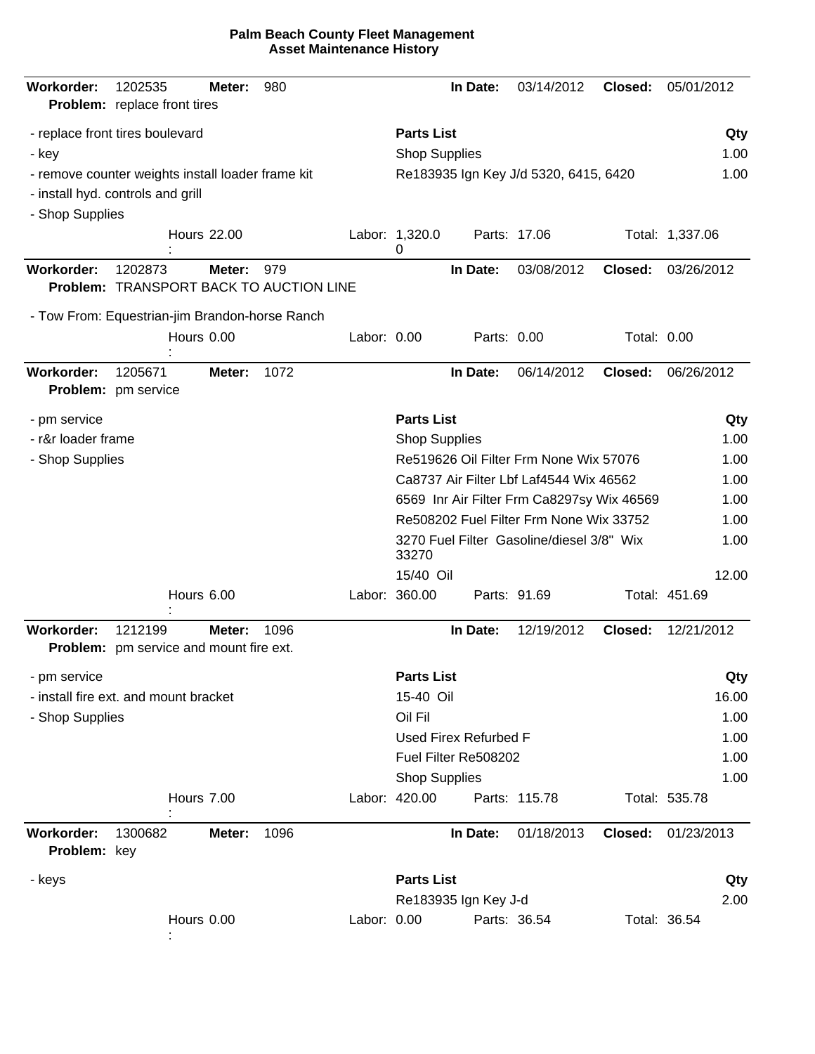| Workorder:<br><b>Problem:</b> replace front tires                   | 1202535 |            | Meter:             | 980                                            |             |                      | In Date:              | 03/14/2012                                 | Closed:     | 05/01/2012      |      |
|---------------------------------------------------------------------|---------|------------|--------------------|------------------------------------------------|-------------|----------------------|-----------------------|--------------------------------------------|-------------|-----------------|------|
| - replace front tires boulevard                                     |         |            |                    |                                                |             | <b>Parts List</b>    |                       |                                            |             |                 | Qty  |
| - key                                                               |         |            |                    |                                                |             | <b>Shop Supplies</b> |                       |                                            | 1.00        |                 |      |
| - remove counter weights install loader frame kit                   |         |            |                    |                                                |             |                      |                       | Re183935 Ign Key J/d 5320, 6415, 6420      |             |                 | 1.00 |
| - install hyd. controls and grill                                   |         |            |                    |                                                |             |                      |                       |                                            |             |                 |      |
| - Shop Supplies                                                     |         |            |                    |                                                |             |                      |                       |                                            |             |                 |      |
|                                                                     |         |            | <b>Hours 22.00</b> |                                                |             | Labor: 1,320.0<br>0  |                       | Parts: 17.06                               |             | Total: 1,337.06 |      |
| <b>Workorder:</b>                                                   | 1202873 |            | Meter:             | 979<br>Problem: TRANSPORT BACK TO AUCTION LINE |             |                      | In Date:              | 03/08/2012                                 | Closed:     | 03/26/2012      |      |
| - Tow From: Equestrian-jim Brandon-horse Ranch                      |         |            |                    |                                                |             |                      |                       |                                            |             |                 |      |
|                                                                     |         | Hours 0.00 |                    |                                                | Labor: 0.00 |                      | Parts: 0.00           |                                            | Total: 0.00 |                 |      |
| <b>Workorder:</b><br>Problem: pm service                            | 1205671 |            | Meter:             | 1072                                           |             |                      | In Date:              | 06/14/2012                                 | Closed:     | 06/26/2012      |      |
| - pm service                                                        |         |            |                    |                                                |             | <b>Parts List</b>    |                       |                                            |             |                 | Qty  |
| - r&r loader frame                                                  |         |            |                    |                                                |             | <b>Shop Supplies</b> |                       |                                            |             |                 | 1.00 |
| - Shop Supplies                                                     |         |            |                    |                                                |             |                      |                       | Re519626 Oil Filter Frm None Wix 57076     |             |                 | 1.00 |
|                                                                     |         |            |                    |                                                |             |                      |                       | Ca8737 Air Filter Lbf Laf4544 Wix 46562    |             |                 | 1.00 |
|                                                                     |         |            |                    |                                                |             |                      |                       | 6569 Inr Air Filter Frm Ca8297sy Wix 46569 |             |                 | 1.00 |
|                                                                     |         |            |                    |                                                |             |                      |                       | Re508202 Fuel Filter Frm None Wix 33752    |             |                 | 1.00 |
|                                                                     |         |            |                    |                                                |             | 33270                |                       | 3270 Fuel Filter Gasoline/diesel 3/8" Wix  |             |                 | 1.00 |
|                                                                     |         |            |                    |                                                |             | 15/40 Oil            |                       |                                            |             | 12.00           |      |
|                                                                     |         | Hours 6.00 |                    |                                                |             | Labor: 360.00        |                       | Parts: 91.69                               |             | Total: 451.69   |      |
| <b>Workorder:</b><br><b>Problem:</b> pm service and mount fire ext. | 1212199 |            | Meter:             | 1096                                           |             |                      | In Date:              | 12/19/2012                                 | Closed:     | 12/21/2012      |      |
| - pm service                                                        |         |            |                    |                                                |             | <b>Parts List</b>    |                       |                                            |             |                 | Qty  |
| - install fire ext. and mount bracket                               |         |            |                    |                                                |             | 15-40 Oil            |                       |                                            |             | 16.00           |      |
| - Shop Supplies                                                     |         |            |                    |                                                |             | Oil Fil              |                       |                                            |             |                 | 1.00 |
|                                                                     |         |            |                    |                                                |             |                      | Used Firex Refurbed F |                                            |             |                 | 1.00 |
|                                                                     |         |            |                    |                                                |             |                      | Fuel Filter Re508202  |                                            |             |                 | 1.00 |
|                                                                     |         |            |                    |                                                |             | <b>Shop Supplies</b> |                       |                                            |             |                 | 1.00 |
|                                                                     |         | Hours 7.00 |                    |                                                |             | Labor: 420.00        |                       | Parts: 115.78                              |             | Total: 535.78   |      |
| <b>Workorder:</b><br>Problem: key                                   | 1300682 |            | Meter:             | 1096                                           |             |                      | In Date:              | 01/18/2013                                 | Closed:     | 01/23/2013      |      |
| - keys                                                              |         |            |                    |                                                |             | <b>Parts List</b>    |                       |                                            |             |                 | Qty  |
|                                                                     |         |            |                    |                                                |             |                      | Re183935 Ign Key J-d  |                                            |             |                 | 2.00 |
|                                                                     |         | Hours 0.00 |                    |                                                | Labor: 0.00 |                      |                       | Parts: 36.54                               |             | Total: 36.54    |      |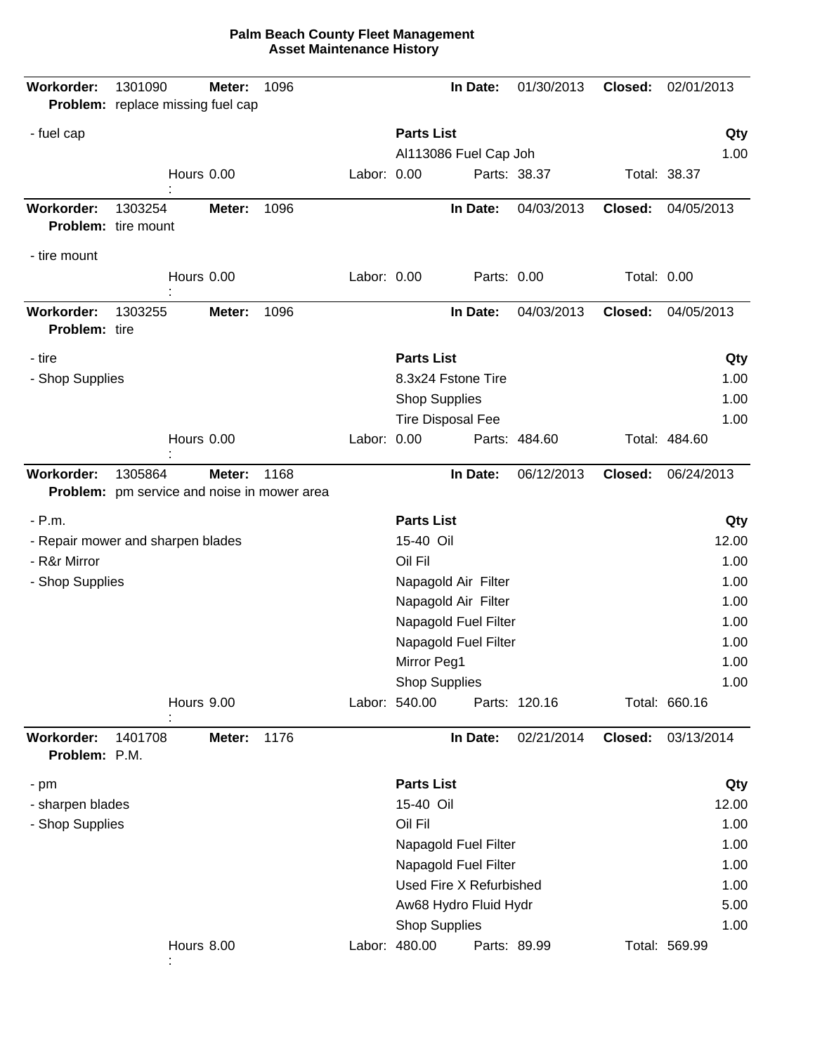| Workorder:                  | 1301090<br>Problem: replace missing fuel cap           | Meter: | 1096 |             |                   | In Date:                 | 01/30/2013    | Closed:     | 02/01/2013    |
|-----------------------------|--------------------------------------------------------|--------|------|-------------|-------------------|--------------------------|---------------|-------------|---------------|
| - fuel cap                  |                                                        |        |      |             | <b>Parts List</b> |                          |               |             | Qty           |
|                             |                                                        |        |      |             |                   | Al113086 Fuel Cap Joh    |               |             | 1.00          |
|                             | Hours 0.00                                             |        |      | Labor: 0.00 |                   |                          | Parts: 38.37  |             | Total: 38.37  |
| <b>Workorder:</b>           | 1303254<br>Problem: tire mount                         | Meter: | 1096 |             |                   | In Date:                 | 04/03/2013    | Closed:     | 04/05/2013    |
| - tire mount                |                                                        |        |      |             |                   |                          |               |             |               |
|                             | Hours 0.00                                             |        |      | Labor: 0.00 |                   | Parts: 0.00              |               | Total: 0.00 |               |
| Workorder:<br>Problem: tire | 1303255                                                | Meter: | 1096 |             |                   | In Date:                 | 04/03/2013    | Closed:     | 04/05/2013    |
| - tire                      |                                                        |        |      |             | <b>Parts List</b> |                          |               |             | Qty           |
| - Shop Supplies             |                                                        |        |      |             |                   | 8.3x24 Fstone Tire       |               |             | 1.00          |
|                             |                                                        |        |      |             |                   | <b>Shop Supplies</b>     |               |             | 1.00          |
|                             |                                                        |        |      |             |                   | <b>Tire Disposal Fee</b> |               |             | 1.00          |
|                             | Hours 0.00                                             |        |      | Labor: 0.00 |                   |                          | Parts: 484.60 |             | Total: 484.60 |
| Workorder:                  | 1305864<br>Problem: pm service and noise in mower area | Meter: | 1168 |             |                   | In Date:                 | 06/12/2013    | Closed:     | 06/24/2013    |
| $- P.m.$                    |                                                        |        |      |             | <b>Parts List</b> |                          |               |             | Qty           |
|                             | - Repair mower and sharpen blades                      |        |      |             | 15-40 Oil         |                          |               |             | 12.00         |
| - R&r Mirror                |                                                        |        |      |             | Oil Fil           |                          |               |             | 1.00          |
| - Shop Supplies             |                                                        |        |      |             |                   | Napagold Air Filter      |               |             | 1.00          |
|                             |                                                        |        |      |             |                   | Napagold Air Filter      |               |             | 1.00          |
|                             |                                                        |        |      |             |                   | Napagold Fuel Filter     |               |             | 1.00          |
|                             |                                                        |        |      |             |                   | Napagold Fuel Filter     |               |             | 1.00          |
|                             |                                                        |        |      |             | Mirror Peg1       |                          |               |             | 1.00          |
|                             |                                                        |        |      |             |                   | <b>Shop Supplies</b>     |               |             | 1.00          |
|                             | Hours 9.00                                             |        |      |             | Labor: 540.00     |                          | Parts: 120.16 |             | Total: 660.16 |
| Workorder:<br>Problem: P.M. | 1401708                                                | Meter: | 1176 |             |                   | In Date:                 | 02/21/2014    | Closed:     | 03/13/2014    |
| - pm                        |                                                        |        |      |             | <b>Parts List</b> |                          |               |             | Qty           |
| - sharpen blades            |                                                        |        |      |             | 15-40 Oil         |                          |               |             | 12.00         |
| - Shop Supplies             |                                                        |        |      |             | Oil Fil           |                          |               |             | 1.00          |
|                             |                                                        |        |      |             |                   | Napagold Fuel Filter     |               |             | 1.00          |
|                             |                                                        |        |      |             |                   | Napagold Fuel Filter     |               |             | 1.00          |
|                             |                                                        |        |      |             |                   | Used Fire X Refurbished  |               |             | 1.00          |
|                             |                                                        |        |      |             |                   | Aw68 Hydro Fluid Hydr    |               |             | 5.00          |
|                             |                                                        |        |      |             |                   | <b>Shop Supplies</b>     |               |             | 1.00          |
|                             | Hours 8.00                                             |        |      |             | Labor: 480.00     |                          | Parts: 89.99  |             | Total: 569.99 |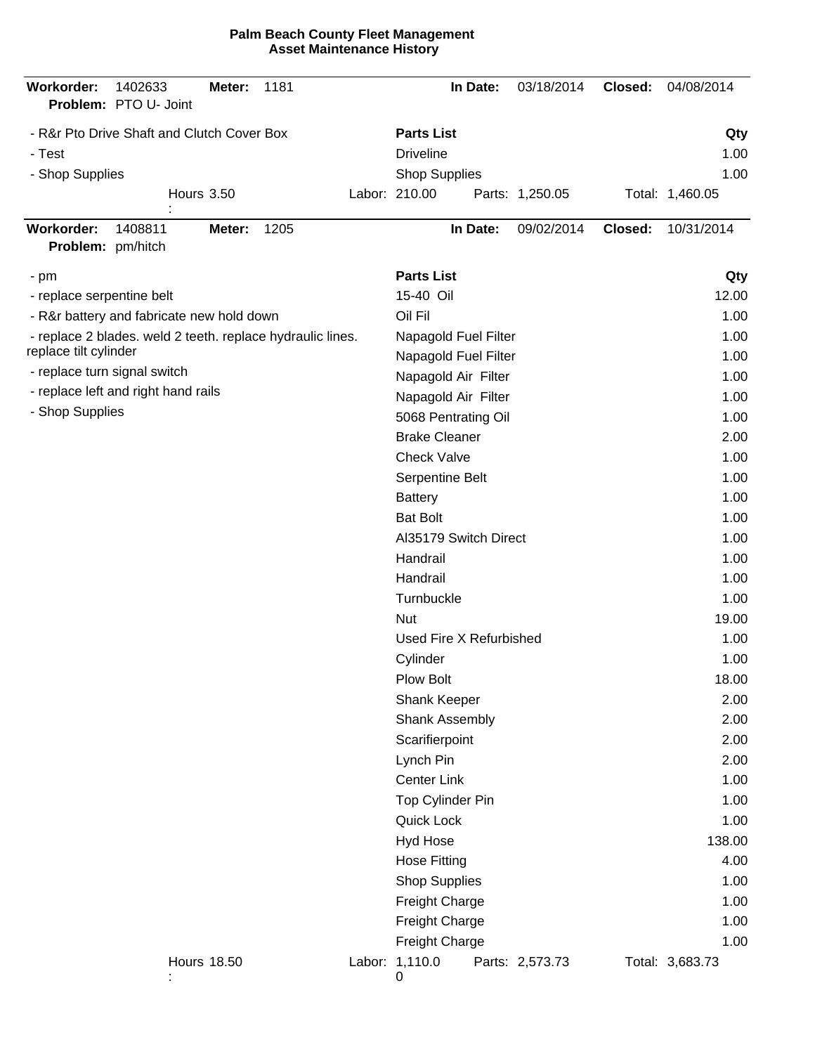|  | <b>Palm Beach County Fleet Management</b> |
|--|-------------------------------------------|
|  | <b>Asset Maintenance History</b>          |

| Workorder:                             | 1402633<br>Problem: PTO U- Joint                           | Meter:             | 1181 |                       | In Date:                | 03/18/2014      | Closed: | 04/08/2014      |
|----------------------------------------|------------------------------------------------------------|--------------------|------|-----------------------|-------------------------|-----------------|---------|-----------------|
|                                        | - R&r Pto Drive Shaft and Clutch Cover Box                 |                    |      | <b>Parts List</b>     |                         |                 |         | Qty             |
| - Test                                 |                                                            |                    |      | <b>Driveline</b>      |                         |                 |         | 1.00            |
| - Shop Supplies                        |                                                            |                    |      | <b>Shop Supplies</b>  |                         |                 |         | 1.00            |
|                                        |                                                            | <b>Hours 3.50</b>  |      | Labor: 210.00         |                         | Parts: 1,250.05 |         | Total: 1,460.05 |
| <b>Workorder:</b><br>Problem: pm/hitch | 1408811                                                    | Meter:             | 1205 |                       | In Date:                | 09/02/2014      | Closed: | 10/31/2014      |
| - pm                                   |                                                            |                    |      | <b>Parts List</b>     |                         |                 |         | Qty             |
| - replace serpentine belt              |                                                            |                    |      | 15-40 Oil             |                         |                 |         | 12.00           |
|                                        | - R&r battery and fabricate new hold down                  |                    |      | Oil Fil               |                         |                 |         | 1.00            |
|                                        | - replace 2 blades. weld 2 teeth. replace hydraulic lines. |                    |      |                       | Napagold Fuel Filter    |                 |         | 1.00            |
| replace tilt cylinder                  |                                                            |                    |      |                       | Napagold Fuel Filter    |                 |         | 1.00            |
| - replace turn signal switch           |                                                            |                    |      |                       | Napagold Air Filter     |                 |         | 1.00            |
|                                        | - replace left and right hand rails                        |                    |      |                       | Napagold Air Filter     |                 |         | 1.00            |
| - Shop Supplies                        |                                                            |                    |      |                       | 5068 Pentrating Oil     |                 |         | 1.00            |
|                                        |                                                            |                    |      | <b>Brake Cleaner</b>  |                         |                 |         | 2.00            |
|                                        |                                                            |                    |      | <b>Check Valve</b>    |                         |                 |         | 1.00            |
|                                        |                                                            |                    |      | Serpentine Belt       |                         |                 |         | 1.00            |
|                                        |                                                            |                    |      | <b>Battery</b>        |                         |                 |         | 1.00            |
|                                        |                                                            |                    |      | <b>Bat Bolt</b>       |                         |                 |         | 1.00            |
|                                        |                                                            |                    |      |                       | Al35179 Switch Direct   |                 |         | 1.00            |
|                                        |                                                            |                    |      | Handrail              |                         |                 |         | 1.00            |
|                                        |                                                            |                    |      | Handrail              |                         |                 |         | 1.00            |
|                                        |                                                            |                    |      | Turnbuckle            |                         |                 |         | 1.00            |
|                                        |                                                            |                    |      | <b>Nut</b>            |                         |                 |         | 19.00           |
|                                        |                                                            |                    |      |                       | Used Fire X Refurbished |                 |         | 1.00            |
|                                        |                                                            |                    |      | Cylinder              |                         |                 |         | 1.00            |
|                                        |                                                            |                    |      | Plow Bolt             |                         |                 |         | 18.00           |
|                                        |                                                            |                    |      | Shank Keeper          |                         |                 |         | 2.00            |
|                                        |                                                            |                    |      | Shank Assembly        |                         |                 |         | 2.00            |
|                                        |                                                            |                    |      | Scarifierpoint        |                         |                 |         | 2.00            |
|                                        |                                                            |                    |      | Lynch Pin             |                         |                 |         | 2.00            |
|                                        |                                                            |                    |      | Center Link           |                         |                 |         | 1.00            |
|                                        |                                                            |                    |      | Top Cylinder Pin      |                         |                 |         | 1.00            |
|                                        |                                                            |                    |      | Quick Lock            |                         |                 |         | 1.00            |
|                                        |                                                            |                    |      | Hyd Hose              |                         |                 |         | 138.00          |
|                                        |                                                            |                    |      | <b>Hose Fitting</b>   |                         |                 |         | 4.00            |
|                                        |                                                            |                    |      | <b>Shop Supplies</b>  |                         |                 |         | 1.00            |
|                                        |                                                            |                    |      | <b>Freight Charge</b> |                         |                 |         | 1.00            |
|                                        |                                                            |                    |      | <b>Freight Charge</b> |                         |                 |         | 1.00            |
|                                        |                                                            |                    |      | Freight Charge        |                         |                 |         | 1.00            |
|                                        |                                                            | <b>Hours 18.50</b> |      | Labor: 1,110.0<br>0   |                         | Parts: 2,573.73 |         | Total: 3,683.73 |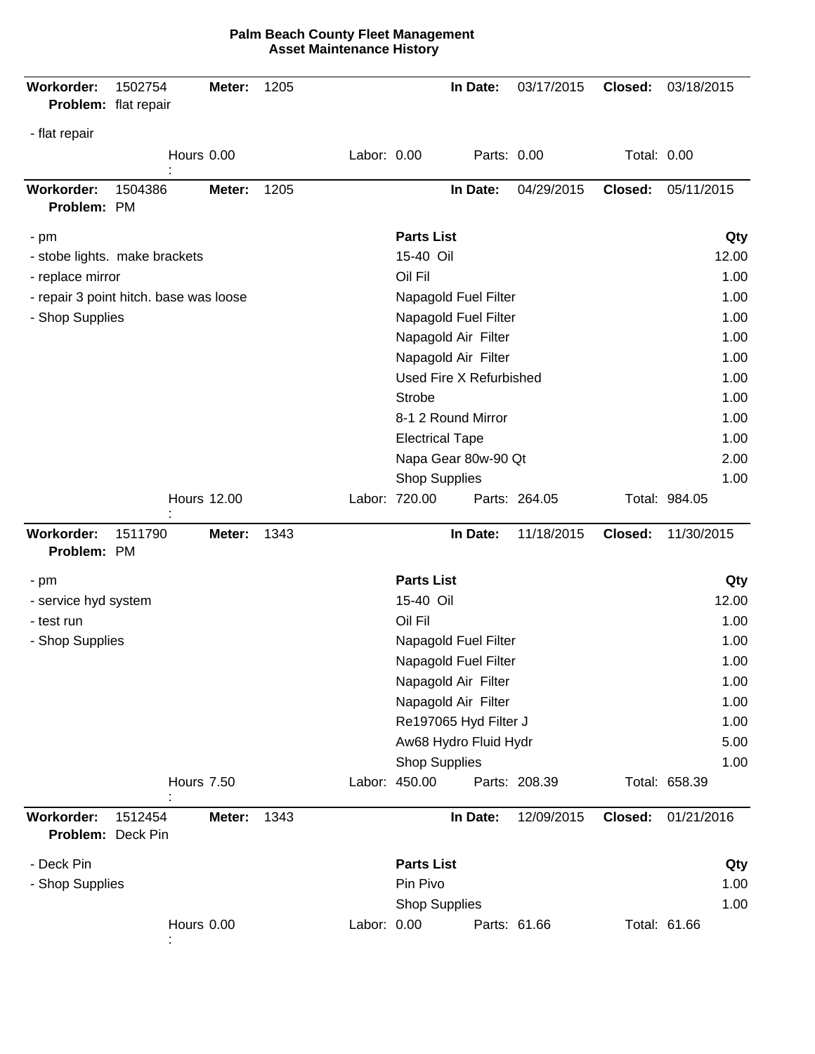| Workorder:<br>Problem: flat repair     | 1502754                                | Meter:             | 1205 |             |                                       | In Date:                | 03/17/2015    | Closed:            | 03/18/2015    |
|----------------------------------------|----------------------------------------|--------------------|------|-------------|---------------------------------------|-------------------------|---------------|--------------------|---------------|
| - flat repair                          |                                        |                    |      |             |                                       |                         |               |                    |               |
|                                        |                                        | Hours 0.00         |      | Labor: 0.00 |                                       | Parts: 0.00             |               | <b>Total: 0.00</b> |               |
| <b>Workorder:</b><br>Problem: PM       | 1504386                                | Meter:             | 1205 |             |                                       | In Date:                | 04/29/2015    | Closed:            | 05/11/2015    |
| $-pm$                                  |                                        |                    |      |             | <b>Parts List</b>                     |                         |               |                    | Qty           |
|                                        | - stobe lights. make brackets          |                    |      |             | 15-40 Oil                             |                         |               |                    | 12.00         |
| - replace mirror                       |                                        |                    |      |             | Oil Fil                               |                         |               |                    | 1.00          |
|                                        | - repair 3 point hitch. base was loose |                    |      |             |                                       | Napagold Fuel Filter    |               |                    | 1.00          |
| - Shop Supplies                        |                                        |                    |      |             |                                       | Napagold Fuel Filter    |               |                    | 1.00          |
|                                        |                                        |                    |      |             |                                       | Napagold Air Filter     |               |                    | 1.00          |
|                                        |                                        |                    |      |             |                                       | Napagold Air Filter     |               |                    | 1.00          |
|                                        |                                        |                    |      |             |                                       | Used Fire X Refurbished |               |                    | 1.00          |
|                                        |                                        |                    |      |             | <b>Strobe</b>                         |                         |               |                    | 1.00          |
|                                        |                                        |                    |      |             |                                       | 8-1 2 Round Mirror      |               |                    | 1.00          |
|                                        |                                        |                    |      |             |                                       | <b>Electrical Tape</b>  |               |                    | 1.00          |
|                                        |                                        |                    |      |             |                                       | Napa Gear 80w-90 Qt     |               |                    | 2.00          |
|                                        |                                        |                    |      |             | <b>Shop Supplies</b><br>Labor: 720.00 |                         | Parts: 264.05 |                    | 1.00          |
|                                        |                                        | <b>Hours 12.00</b> |      |             |                                       |                         |               |                    | Total: 984.05 |
| <b>Workorder:</b><br>Problem: PM       | 1511790                                | Meter:             | 1343 |             |                                       | In Date:                | 11/18/2015    | Closed:            | 11/30/2015    |
| $-pm$                                  |                                        |                    |      |             | <b>Parts List</b>                     |                         |               |                    | Qty           |
| - service hyd system                   |                                        |                    |      |             | 15-40 Oil                             |                         |               |                    | 12.00         |
| - test run                             |                                        |                    |      |             | Oil Fil                               |                         |               |                    | 1.00          |
| - Shop Supplies                        |                                        |                    |      |             |                                       | Napagold Fuel Filter    |               |                    | 1.00          |
|                                        |                                        |                    |      |             |                                       | Napagold Fuel Filter    |               |                    | 1.00          |
|                                        |                                        |                    |      |             |                                       | Napagold Air Filter     |               |                    | 1.00          |
|                                        |                                        |                    |      |             |                                       | Napagold Air Filter     |               |                    | 1.00          |
|                                        |                                        |                    |      |             |                                       | Re197065 Hyd Filter J   |               |                    | 1.00          |
|                                        |                                        |                    |      |             |                                       | Aw68 Hydro Fluid Hydr   |               |                    | 5.00          |
|                                        |                                        |                    |      |             | <b>Shop Supplies</b>                  |                         |               |                    | 1.00          |
|                                        |                                        | <b>Hours 7.50</b>  |      |             | Labor: 450.00                         |                         | Parts: 208.39 |                    | Total: 658.39 |
| <b>Workorder:</b><br>Problem: Deck Pin | 1512454                                | Meter:             | 1343 |             |                                       | In Date:                | 12/09/2015    | Closed:            | 01/21/2016    |
| - Deck Pin                             |                                        |                    |      |             | <b>Parts List</b>                     |                         |               |                    | Qty           |
| - Shop Supplies                        |                                        |                    |      |             | Pin Pivo                              |                         |               |                    | 1.00          |
|                                        |                                        |                    |      |             | <b>Shop Supplies</b>                  |                         |               |                    | 1.00          |
|                                        |                                        | Hours 0.00         |      | Labor: 0.00 |                                       |                         | Parts: 61.66  |                    | Total: 61.66  |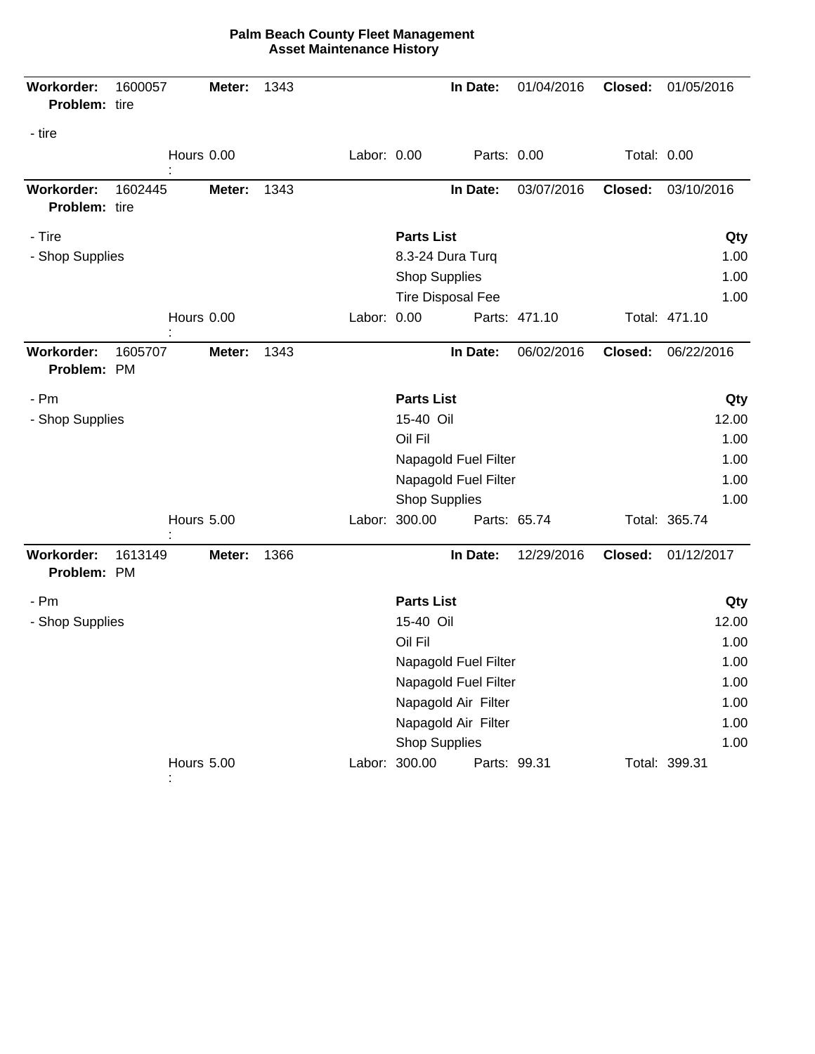| Workorder:<br>Problem: tire        | 1600057 |                   | Meter: | 1343 |                                            |                      | In Date:                 | 01/04/2016    | Closed:     | 01/05/2016    |
|------------------------------------|---------|-------------------|--------|------|--------------------------------------------|----------------------|--------------------------|---------------|-------------|---------------|
| - tire                             |         | Hours 0.00        |        |      | Labor: 0.00                                |                      | Parts: 0.00              |               | Total: 0.00 |               |
|                                    |         |                   |        |      |                                            |                      |                          |               |             |               |
| <b>Workorder:</b><br>Problem: tire | 1602445 |                   | Meter: | 1343 |                                            |                      | In Date:                 | 03/07/2016    | Closed:     | 03/10/2016    |
| - Tire                             |         |                   |        |      |                                            | <b>Parts List</b>    |                          |               |             | Qty           |
| - Shop Supplies                    |         |                   |        |      |                                            | 8.3-24 Dura Turq     |                          | 1.00          |             |               |
|                                    |         |                   |        |      |                                            | <b>Shop Supplies</b> |                          |               |             | 1.00          |
|                                    |         |                   |        |      |                                            |                      | <b>Tire Disposal Fee</b> |               |             | 1.00          |
|                                    |         | Hours 0.00        |        |      | Labor: 0.00                                |                      |                          | Parts: 471.10 |             | Total: 471.10 |
| Workorder:<br>Problem: PM          | 1605707 |                   | Meter: | 1343 |                                            |                      | In Date:                 | 06/02/2016    | Closed:     | 06/22/2016    |
| - Pm                               |         |                   |        |      |                                            | <b>Parts List</b>    |                          |               |             | Qty           |
| - Shop Supplies                    |         |                   |        |      | 15-40 Oil                                  |                      |                          |               | 12.00       |               |
|                                    |         |                   |        |      |                                            | Oil Fil              |                          |               |             | 1.00          |
|                                    |         |                   |        |      |                                            |                      | Napagold Fuel Filter     |               |             | 1.00          |
|                                    |         |                   |        |      | Napagold Fuel Filter                       |                      |                          |               | 1.00        |               |
|                                    |         |                   |        |      |                                            | <b>Shop Supplies</b> |                          |               |             | 1.00          |
|                                    |         | <b>Hours 5.00</b> |        |      |                                            | Labor: 300.00        |                          | Parts: 65.74  |             | Total: 365.74 |
| Workorder:<br>Problem: PM          | 1613149 |                   | Meter: | 1366 |                                            |                      | In Date:                 | 12/29/2016    | Closed:     | 01/12/2017    |
| - Pm                               |         |                   |        |      |                                            | <b>Parts List</b>    |                          |               |             | Qty           |
| - Shop Supplies                    |         |                   |        |      | 15-40 Oil                                  |                      |                          |               | 12.00       |               |
|                                    |         |                   |        |      |                                            | Oil Fil              |                          |               |             | 1.00          |
|                                    |         |                   |        |      |                                            |                      | Napagold Fuel Filter     |               | 1.00        |               |
|                                    |         |                   |        |      |                                            |                      | Napagold Fuel Filter     |               | 1.00        |               |
|                                    |         |                   |        |      | Napagold Air Filter<br>Napagold Air Filter |                      |                          |               | 1.00        |               |
|                                    |         |                   |        |      |                                            |                      |                          |               | 1.00        |               |
|                                    |         |                   |        |      |                                            | <b>Shop Supplies</b> |                          |               | 1.00        |               |
|                                    |         | Hours 5.00        |        |      |                                            | Labor: 300.00        |                          | Parts: 99.31  |             | Total: 399.31 |